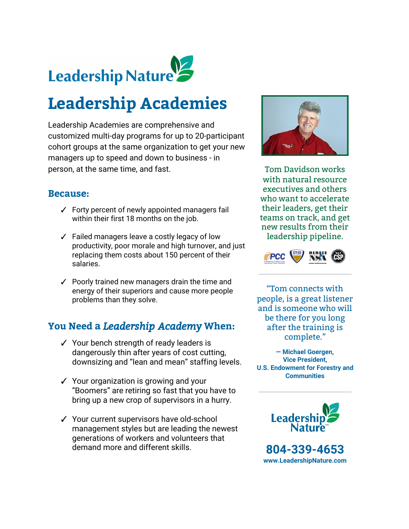

# **Leadership Academies**

Leadership Academies are comprehensive and customized multi-day programs for up to 20-participant cohort groups at the same organization to get your new managers up to speed and down to business - in person, at the same time, and fast.

#### **Because:**

- ✓ Forty percent of newly appointed managers fail within their first 18 months on the job.
- ✓ Failed managers leave a costly legacy of low productivity, poor morale and high turnover, and just replacing them costs about 150 percent of their salaries.
- ✓ Poorly trained new managers drain the time and energy of their superiors and cause more people problems than they solve.

## **You Need a** *Leadership Academy***When:**

- ✓ Your bench strength of ready leaders is dangerously thin after years of cost cutting, downsizing and "lean and mean" staffing levels.
- ✓ Your organization is growing and your "Boomers" are retiring so fast that you have to bring up a new crop of supervisors in a hurry.
- ✓ Your current supervisors have old-school management styles but are leading the newest generations of workers and volunteers that demand more and different skills.



Tom Davidson works with natural resource executives and others who want to accelerate their leaders, get their teams on track, and get new results from their leadership pipeline.



"Tom connects with people, is a great listener and is someone who will be there for you long after the training is complete."

**— Michael Goergen, Vice President, U.S. Endowment for Forestry and Communities**



**804-339-4653 [www.LeadershipNature.com](http://www.leadershipnature.com/)**